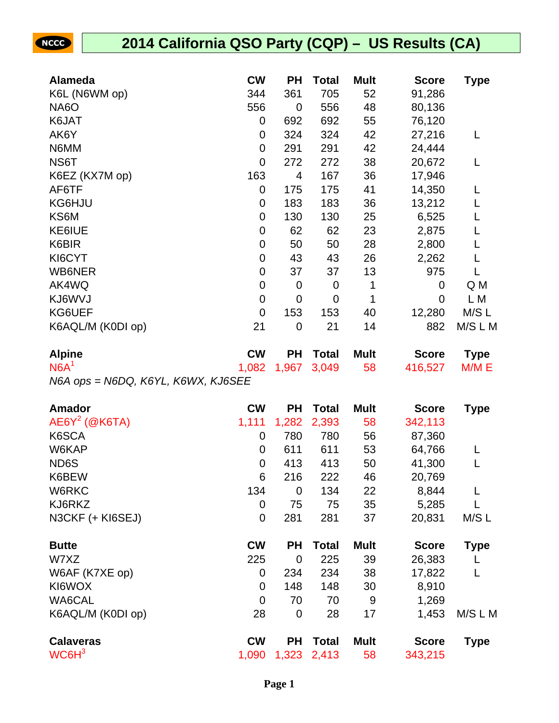| <b>Alameda</b>                     | <b>CW</b>   | <b>PH</b>      | <b>Total</b> | <b>Mult</b> | <b>Score</b> | Type        |
|------------------------------------|-------------|----------------|--------------|-------------|--------------|-------------|
| K6L (N6WM op)                      | 344         | 361            | 705          | 52          | 91,286       |             |
| <b>NA6O</b>                        | 556         | $\overline{0}$ | 556          | 48          | 80,136       |             |
| K6JAT                              | $\mathbf 0$ | 692            | 692          | 55          | 76,120       |             |
| AK6Y                               | 0           | 324            | 324          | 42          | 27,216       | L           |
| N6MM                               | $\mathbf 0$ | 291            | 291          | 42          | 24,444       |             |
| NS6T                               | $\mathbf 0$ | 272            | 272          | 38          | 20,672       | L           |
| K6EZ (KX7M op)                     | 163         | 4              | 167          | 36          | 17,946       |             |
| AF6TF                              | $\mathbf 0$ | 175            | 175          | 41          | 14,350       | L           |
| KG6HJU                             | 0           | 183            | 183          | 36          | 13,212       | L           |
| KS6M                               | $\mathbf 0$ | 130            | 130          | 25          | 6,525        | L           |
| KE6IUE                             | $\mathbf 0$ | 62             | 62           | 23          | 2,875        | L           |
| K6BIR                              | $\mathbf 0$ | 50             | 50           | 28          | 2,800        | L           |
| KI6CYT                             | $\mathbf 0$ | 43             | 43           | 26          | 2,262        |             |
| WB6NER                             | $\mathbf 0$ | 37             | 37           | 13          | 975          | L           |
| AK4WQ                              | $\mathbf 0$ | $\mathbf 0$    | 0            | 1           | $\mathbf 0$  | Q M         |
| KJ6WVJ                             | $\mathbf 0$ | $\mathbf 0$    | 0            | 1           | 0            | L M         |
| KG6UEF                             | $\mathbf 0$ | 153            | 153          | 40          | 12,280       | M/S L       |
| K6AQL/M (K0DI op)                  | 21          | $\mathbf 0$    | 21           | 14          | 882          | M/S L M     |
| <b>Alpine</b>                      | <b>CW</b>   | <b>PH</b>      | <b>Total</b> | <b>Mult</b> | <b>Score</b> | <b>Type</b> |
| N6A <sup>1</sup>                   | 1,082       | 1,967          | 3,049        | 58          | 416,527      | M/M E       |
| N6A ops = N6DQ, K6YL, K6WX, KJ6SEE |             |                |              |             |              |             |
| <b>Amador</b>                      | <b>CW</b>   | <b>PH</b>      | <b>Total</b> | <b>Mult</b> | <b>Score</b> | <b>Type</b> |
| $AEGY^2$ (@K6TA)                   | 1,111       | 1,282          | 2,393        | 58          | 342,113      |             |
| K6SCA                              | $\mathbf 0$ | 780            | 780          | 56          | 87,360       |             |
| W6KAP                              | 0           | 611            | 611          | 53          | 64,766       | L           |
| ND6S                               | $\mathbf 0$ | 413            | 413          | 50          | 41,300       | L           |
| K6BEW                              | 6           | 216            | 222          | 46          | 20,769       |             |
| W6RKC                              | 134         | $\mathbf 0$    | 134          | 22          | 8,844        | L           |

| <b>Calaveras</b>  | <b>CW</b> | PН        | Total | <b>Mult</b> | <b>Score</b> | Type    |
|-------------------|-----------|-----------|-------|-------------|--------------|---------|
| K6AQL/M (K0DI op) | 28        | 0         | 28    | 17          | 1,453        | M/S L M |
| <b>WA6CAL</b>     | 0         | 70        | 70    | 9           | 1,269        |         |
| KI6WOX            | 0         | 148       | 148   | 30          | 8,910        |         |
| W6AF (K7XE op)    | 0         | 234       | 234   | 38          | 17,822       |         |
| W7XZ              | 225       | 0         | 225   | 39          | 26,383       |         |
| <b>Butte</b>      | <b>CW</b> | <b>PH</b> | Total | <b>Mult</b> | <b>Score</b> | Type    |
| N3CKF (+ KI6SEJ)  | 0         | 281       | 281   | 37          | 20,831       | M/S L   |
|                   |           |           |       |             |              |         |

| Udidvel də |  |
|------------|--|
| $WC6H^3$   |  |

NCCC

1,090 1,323 2,413 58 343,215

KJ6RKZ 0 75 75 35 5,285 L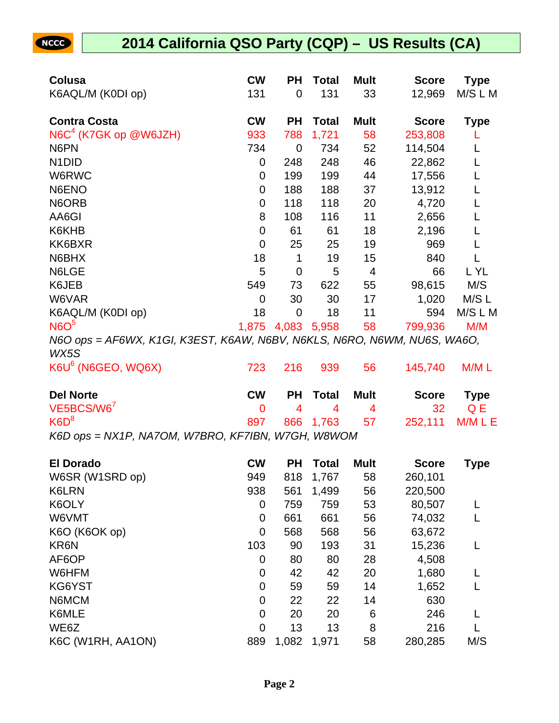| Colusa                                                                           | <b>CW</b>   | <b>PH</b>      | <b>Total</b>   | <b>Mult</b> | <b>Score</b> | <b>Type</b> |
|----------------------------------------------------------------------------------|-------------|----------------|----------------|-------------|--------------|-------------|
| K6AQL/M (K0DI op)                                                                | 131         | $\mathbf 0$    | 131            | 33          | 12,969       | M/S L M     |
| <b>Contra Costa</b>                                                              | <b>CW</b>   | <b>PH</b>      | <b>Total</b>   | <b>Mult</b> | <b>Score</b> | <b>Type</b> |
| N6C <sup>4</sup> (K7GK op @W6JZH)                                                | 933         | 788            | 1,721          | 58          | 253,808      |             |
| N6PN                                                                             | 734         | $\mathbf 0$    | 734            | 52          | 114,504      | L           |
| N <sub>1</sub> D <sub>ID</sub>                                                   | 0           | 248            | 248            | 46          | 22,862       | L           |
| W6RWC                                                                            | 0           | 199            | 199            | 44          | 17,556       | L           |
| N6ENO                                                                            | 0           | 188            | 188            | 37          | 13,912       | L           |
| N6ORB                                                                            | $\mathbf 0$ | 118            | 118            | 20          | 4,720        | L           |
| AA6GI                                                                            | 8           | 108            | 116            | 11          | 2,656        | L           |
| K6KHB                                                                            | $\mathbf 0$ | 61             | 61             | 18          | 2,196        | L           |
| KK6BXR                                                                           | $\mathbf 0$ | 25             | 25             | 19          | 969          | L           |
| N6BHX                                                                            | 18          | $\mathbf 1$    | 19             | 15          | 840          | L           |
| N6LGE                                                                            | 5           | 0              | 5              | 4           | 66           | L YL        |
| K6JEB                                                                            | 549         | 73             | 622            | 55          | 98,615       | M/S         |
| W6VAR                                                                            | 0           | 30             | 30             | 17          | 1,020        | M/S L       |
| K6AQL/M (K0DI op)                                                                | 18          | $\mathbf 0$    | 18             | 11          | 594          | M/S L M     |
| N6O <sup>5</sup>                                                                 | 1,875       | 4,083 5,958    |                | 58          | 799,936      | M/M         |
| N6O ops = AF6WX, K1GI, K3EST, K6AW, N6BV, N6KLS, N6RO, N6WM, NU6S, WA6O,<br>WX5S |             |                |                |             |              |             |
| K6U <sup>6</sup> (N6GEO, WQ6X)                                                   | 723         | 216            | 939            | 56          | 145,740      | M/M L       |
| <b>Del Norte</b>                                                                 | <b>CW</b>   | <b>PH</b>      | <b>Total</b>   | <b>Mult</b> | <b>Score</b> | <b>Type</b> |
| VE5BCS/W6                                                                        | 0           | $\overline{4}$ | $\overline{4}$ | 4           | 32           | Q E         |
| K6D <sup>8</sup>                                                                 | 897         | 866            | 1,763          | 57          | 252,111      | M/M L E     |
| K6D ops = NX1P, NA7OM, W7BRO, KF7IBN, W7GH, W8WOM                                |             |                |                |             |              |             |
| <b>El Dorado</b>                                                                 | <b>CW</b>   | <b>PH</b>      | <b>Total</b>   | <b>Mult</b> | <b>Score</b> | Type        |
| W6SR (W1SRD op)                                                                  | 949         | 818            | 1,767          | 58          | 260,101      |             |
| K6LRN                                                                            | 938         | 561            | 1,499          | 56          | 220,500      |             |
| K6OLY                                                                            | 0           | 759            | 759            | 53          | 80,507       | L           |
| W6VMT                                                                            | 0           | 661            | 661            | 56          | 74,032       |             |
| K6O (K6OK op)                                                                    | 0           | 568            | 568            | 56          | 63,672       |             |
| KR6N                                                                             | 103         | 90             | 193            | 31          | 15,236       |             |
| AF6OP                                                                            | 0           | 80             | 80             | 28          | 4,508        |             |
| W6HFM                                                                            | 0           | 42             | 42             | 20          | 1,680        |             |
| KG6YST                                                                           | 0           | 59             | 59             | 14          | 1,652        |             |
| N6MCM                                                                            | 0           | 22             | 22             | 14          | 630          |             |
| K6MLE                                                                            |             |                |                |             |              |             |
|                                                                                  | 0           | 20             | 20             | 6           | 246          |             |
| WE6Z                                                                             | 0           | 13             | 13             | 8           | 216          |             |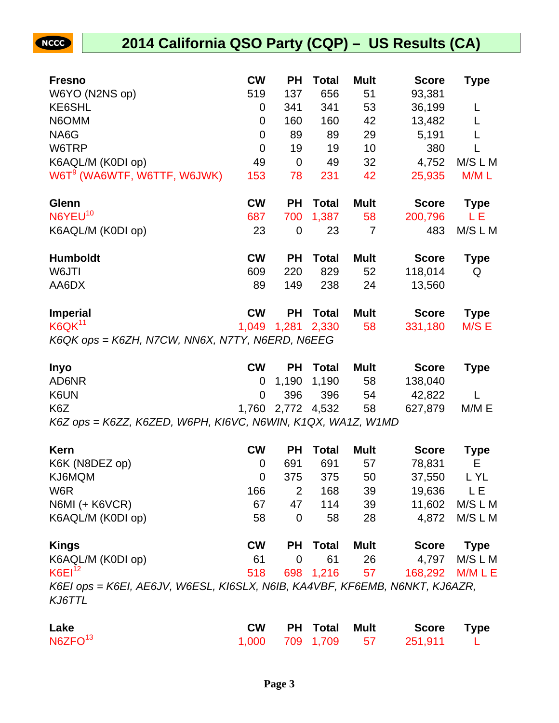

| <b>Fresno</b>                                   | <b>CW</b>      | РH             | Total        | <b>Mult</b> | <b>Score</b> | <b>Type</b> |
|-------------------------------------------------|----------------|----------------|--------------|-------------|--------------|-------------|
| W6YO (N2NS op)                                  | 519            | 137            | 656          | 51          | 93,381       |             |
| KE6SHL                                          | 0              | 341            | 341          | 53          | 36,199       |             |
| N6OMM                                           | 0              | 160            | 160          | 42          | 13,482       |             |
| NA6G                                            | 0              | 89             | 89           | 29          | 5,191        |             |
| W6TRP                                           | $\overline{0}$ | 19             | 19           | 10          | 380          |             |
| K6AQL/M (K0DI op)                               | 49             | $\mathbf 0$    | 49           | 32          | 4,752        | M/S L M     |
| W6T <sup>9</sup> (WA6WTF, W6TTF, W6JWK)         | 153            | 78             | 231          | 42          | 25,935       | M/ML        |
| Glenn                                           | <b>CW</b>      | РH             | <b>Total</b> | <b>Mult</b> | <b>Score</b> | <b>Type</b> |
| N6YEU <sup>10</sup>                             | 687            | 700            | 1,387        | 58          | 200,796      | LЕ          |
| K6AQL/M (K0DI op)                               | 23             | $\overline{0}$ | 23           | 7           | 483          | M/S L M     |
| <b>Humboldt</b>                                 | <b>CW</b>      | РH             | <b>Total</b> | <b>Mult</b> | <b>Score</b> | <b>Type</b> |
| W6JTI                                           | 609            | 220            | 829          | 52          | 118,014      | Q           |
| AA6DX                                           | 89             | 149            | 238          | 24          | 13,560       |             |
| <b>Imperial</b>                                 | <b>CW</b>      | PН             | <b>Total</b> | <b>Mult</b> | <b>Score</b> | <b>Type</b> |
| K6QK <sup>11</sup>                              | 1,049          | 1,281          | 2,330        | 58          | 331,180      | M/S E       |
| K6QK ops = K6ZH, N7CW, NN6X, N7TY, N6ERD, N6EEG |                |                |              |             |              |             |

| <b>Inyo</b>                                                 | <b>CW</b> |                      | <b>PH</b> Total | Mult | Score   | <b>Type</b> |
|-------------------------------------------------------------|-----------|----------------------|-----------------|------|---------|-------------|
| AD6NR                                                       |           | 0 1,190 1,190        |                 | 58   | 138,040 |             |
| K6UN                                                        |           | 0 396 396            |                 | - 54 | 42.822  |             |
| K <sub>6</sub> Z                                            |           | 1,760 2,772 4,532 58 |                 |      | 627.879 | M/M E       |
| K6Z ops = K6ZZ, K6ZED, W6PH, KI6VC, N6WIN, K1QX, WA1Z, W1MD |           |                      |                 |      |         |             |

| Kern                                                                        | <b>CW</b> | <b>PH</b>      | <b>Total</b> | <b>Mult</b> | <b>Score</b> | <b>Type</b> |
|-----------------------------------------------------------------------------|-----------|----------------|--------------|-------------|--------------|-------------|
| K6K (N8DEZ op)                                                              | 0         | 691            | 691          | 57          | 78,831       | E.          |
| KJ6MQM                                                                      | 0         | 375            | 375          | 50          | 37,550       | L YL        |
| W <sub>6</sub> R                                                            | 166       | 2              | 168          | 39          | 19,636       | L E         |
| N6MI (+ K6VCR)                                                              | 67        | 47             | 114          | 39          | 11,602       | M/S L M     |
| K6AQL/M (K0DI op)                                                           | 58        | $\overline{0}$ | 58           | 28          | 4,872        | M/S L M     |
| <b>Kings</b>                                                                | <b>CW</b> | <b>PH</b>      | <b>Total</b> | Mult        | <b>Score</b> | <b>Type</b> |
| K6AQL/M (K0DI op)                                                           | 61        | 0              | 61           | 26          | 4,797        | M/S L M     |
| $K6E1^{12}$                                                                 | 518       | 698            | 1,216        | 57          | 168,292      | M/M L E     |
| K6EI ops = K6EI, AE6JV, W6ESL, KI6SLX, N6IB, KA4VBF, KF6EMB, N6NKT, KJ6AZR, |           |                |              |             |              |             |
| KJ6TTL                                                                      |           |                |              |             |              |             |

| Lake                | <b>CW</b> | <b>PH Total Mult</b> | Score Type                   |  |
|---------------------|-----------|----------------------|------------------------------|--|
| N6ZFO <sup>13</sup> |           |                      | 1,000 709 1,709 57 251,911 L |  |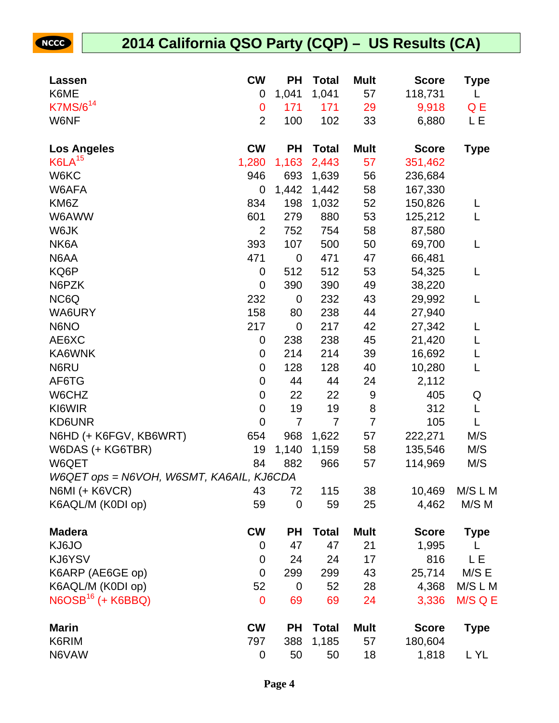NCCC

| Lassen                                   | <b>CW</b>      | PН             | <b>Total</b>   | <b>Mult</b>    | <b>Score</b> | Type        |
|------------------------------------------|----------------|----------------|----------------|----------------|--------------|-------------|
| K6ME                                     | 0              | 1,041          | 1,041          | 57             | 118,731      | L           |
| K7MS/6 <sup>14</sup>                     | $\mathbf 0$    | 171            | 171            | 29             | 9,918        | Q E         |
| W6NF                                     | $\overline{2}$ | 100            | 102            | 33             | 6,880        | LЕ          |
|                                          |                |                |                |                |              |             |
| <b>Los Angeles</b>                       | <b>CW</b>      | <b>PH</b>      | <b>Total</b>   | <b>Mult</b>    | <b>Score</b> | <b>Type</b> |
| K6LA <sup>15</sup>                       | 1,280          | 1,163          | 2,443          | 57             | 351,462      |             |
| W6KC                                     | 946            | 693            | 1,639          | 56             | 236,684      |             |
| W6AFA                                    | 0              | 1,442          | 1,442          | 58             | 167,330      |             |
| KM6Z                                     | 834            | 198            | 1,032          | 52             | 150,826      | L           |
| W6AWW                                    | 601            | 279            | 880            | 53             | 125,212      | L           |
| W6JK                                     | $\overline{2}$ | 752            | 754            | 58             | 87,580       |             |
| NK6A                                     | 393            | 107            | 500            | 50             | 69,700       | L           |
| N6AA                                     | 471            | $\mathbf 0$    | 471            | 47             | 66,481       |             |
| KQ6P                                     | 0              | 512            | 512            | 53             | 54,325       | L           |
| N6PZK                                    | 0              | 390            | 390            | 49             | 38,220       |             |
| NC6Q                                     | 232            | $\mathbf 0$    | 232            | 43             | 29,992       | L           |
| WA6URY                                   | 158            | 80             | 238            | 44             | 27,940       |             |
| N6NO                                     | 217            | $\mathbf 0$    | 217            | 42             | 27,342       | L           |
| AE6XC                                    | 0              | 238            | 238            | 45             | 21,420       | L           |
| KA6WNK                                   | 0              | 214            | 214            | 39             | 16,692       | L           |
| N6RU                                     | $\mathbf 0$    | 128            | 128            | 40             | 10,280       | L           |
| AF6TG                                    | 0              | 44             | 44             | 24             | 2,112        |             |
| W6CHZ                                    | 0              | 22             | 22             | 9              | 405          | Q           |
| KI6WIR                                   | $\mathbf 0$    | 19             | 19             | 8              | 312          | L           |
| KD6UNR                                   | $\mathbf 0$    | $\overline{7}$ | $\overline{7}$ | $\overline{7}$ | 105          | L           |
| N6HD (+ K6FGV, KB6WRT)                   | 654            | 968            | 1,622          | 57             | 222,271      | M/S         |
| W6DAS (+ KG6TBR)                         | 19             | 1,140          | 1,159          | 58             | 135,546      | M/S         |
| W6QET                                    | 84             | 882            | 966            | 57             | 114,969      | M/S         |
| W6QET ops = N6VOH, W6SMT, KA6AIL, KJ6CDA |                |                |                |                |              |             |
| N6MI (+ K6VCR)                           | 43             | 72             | 115            | 38             | 10,469       | M/S L M     |
| K6AQL/M (K0DI op)                        | 59             | $\mathbf 0$    | 59             | 25             | 4,462        | M/S M       |
|                                          |                |                |                |                |              |             |
| <b>Madera</b>                            | <b>CW</b>      | PН             | <b>Total</b>   | <b>Mult</b>    | <b>Score</b> | <b>Type</b> |
| KJ6JO                                    | 0              | 47             | 47             | 21             | 1,995        |             |
| KJ6YSV                                   | 0              | 24             | 24             | 17             | 816          | L E         |
| K6ARP (AE6GE op)                         | $\mathbf 0$    | 299            | 299            | 43             | 25,714       | M/S E       |
| K6AQL/M (K0DI op)                        | 52             | 0              | 52             | 28             | 4,368        | M/S L M     |
| $N6OSB16$ (+ K6BBQ)                      | $\mathbf 0$    | 69             | 69             | 24             | 3,336        | M/S Q E     |
| <b>Marin</b>                             | <b>CW</b>      | <b>PH</b>      | <b>Total</b>   | <b>Mult</b>    | <b>Score</b> | <b>Type</b> |
| K6RIM                                    | 797            | 388            | 1,185          | 57             | 180,604      |             |
| N6VAW                                    | 0              | 50             | 50             | 18             | 1,818        | L YL        |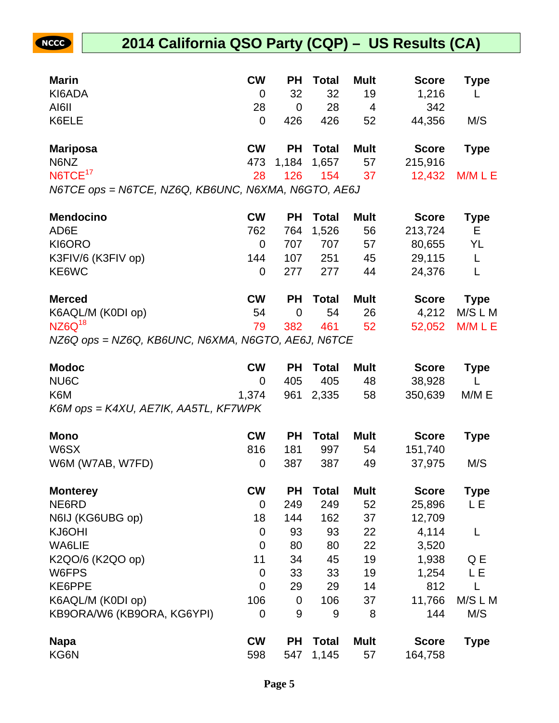| <b>Marin</b>                                        | <b>CW</b> | <b>PH</b>      | <b>Total</b> | <b>Mult</b>    | <b>Score</b> | Type        |
|-----------------------------------------------------|-----------|----------------|--------------|----------------|--------------|-------------|
| KI6ADA                                              | 0         | 32             | 32           | 19             | 1,216        |             |
| AI6II                                               | 28        | $\overline{0}$ | 28           | $\overline{4}$ | 342          |             |
| K6ELE                                               | 0         | 426            | 426          | 52             | 44,356       | M/S         |
| <b>Mariposa</b>                                     | <b>CW</b> | <b>PH</b>      | Total        | <b>Mult</b>    | <b>Score</b> | <b>Type</b> |
| N6NZ                                                |           | 473 1,184      | 1,657        | 57             | 215,916      |             |
| NGTCE <sup>17</sup>                                 | 28        | 126            | 154          | 37             | 12,432       | M/M L E     |
| N6TCE ops = N6TCE, NZ6Q, KB6UNC, N6XMA, N6GTO, AE6J |           |                |              |                |              |             |

**Mendocino CW PH Total Mult Score Type** AD6E 213,724 E KI6ORO 0 707 707 57 80,655 YL K3FIV/6 (K3FIV op)  $144$  107 251 45 29,115 L KE6WC 0 277 277 44 24,376 L

| <b>Merced</b>                                   | <b>CW</b> | PH Total Mult |      | Score Type     |
|-------------------------------------------------|-----------|---------------|------|----------------|
| K6AQL/M (K0DI op)                               |           | 54 0 54       | - 26 | 4,212 M/S L M  |
| $NZ6Q^{18}$                                     |           | 79 382 461 52 |      | 52,052 M/M L E |
| $NZeO$ and $NZeO$ KDRUNC NRVMA NRCTO AFRI NRTOF |           |               |      |                |

NZ6Q ops = NZ6Q, KB6UNC, N6XMA, N6GTO, AE6J, N6TCE

**NCCC** 

| <b>Modoc</b>                         | <b>CW</b>   | <b>PH</b> | <b>Total</b> | <b>Mult</b> | <b>Score</b> | <b>Type</b> |
|--------------------------------------|-------------|-----------|--------------|-------------|--------------|-------------|
| NU6C                                 | 0           | 405       | 405          | 48          | 38,928       |             |
| K6M                                  | 1,374       | 961       | 2,335        | 58          | 350,639      | M/M E       |
| K6M ops = K4XU, AE7IK, AA5TL, KF7WPK |             |           |              |             |              |             |
| <b>Mono</b>                          | <b>CW</b>   | <b>PH</b> | <b>Total</b> | <b>Mult</b> | <b>Score</b> | Type        |
| W6SX                                 | 816         | 181       | 997          | 54          | 151,740      |             |
| W6M (W7AB, W7FD)                     | 0           | 387       | 387          | 49          | 37,975       | M/S         |
| <b>Monterey</b>                      | <b>CW</b>   | <b>PH</b> | Total        | <b>Mult</b> | <b>Score</b> | <b>Type</b> |
| NE6RD                                | 0           | 249       | 249          | 52          | 25,896       | LΕ          |
| N6IJ (KG6UBG op)                     | 18          | 144       | 162          | 37          | 12,709       |             |
| KJ6OHI                               | 0           | 93        | 93           | 22          | 4,114        | L           |
| <b>WA6LIE</b>                        | $\mathbf 0$ | 80        | 80           | 22          | 3,520        |             |
| K2QO/6 (K2QO op)                     | 11          | 34        | 45           | 19          | 1,938        | Q E         |
| W6FPS                                | 0           | 33        | 33           | 19          | 1,254        | LΕ          |
| KE6PPE                               | 0           | 29        | 29           | 14          | 812          | L           |
| K6AQL/M (K0DI op)                    | 106         | 0         | 106          | 37          | 11,766       | M/S L M     |
| KB9ORA/W6 (KB9ORA, KG6YPI)           | 0           | 9         | 9            | 8           | 144          | M/S         |
| <b>Napa</b>                          | <b>CW</b>   | <b>PH</b> | <b>Total</b> | <b>Mult</b> | <b>Score</b> | Type        |
| KG6N                                 | 598         | 547       | 1,145        | 57          | 164,758      |             |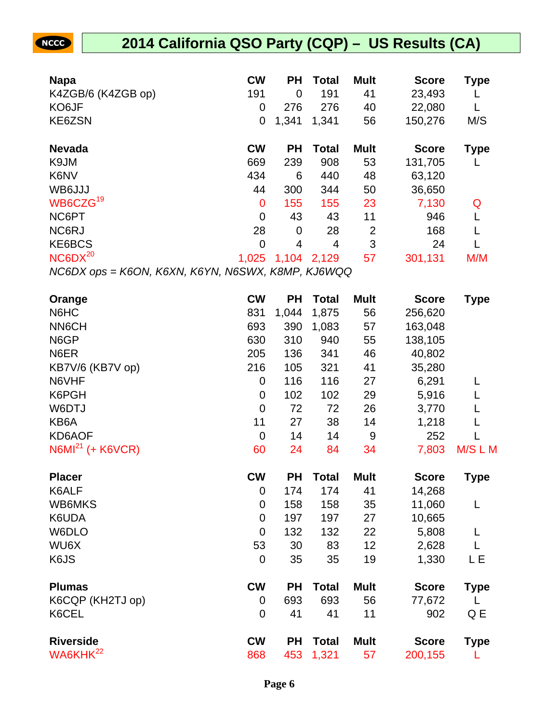| <b>Napa</b>                                       | <b>CW</b> | <b>PH</b> | <b>Total</b> | <b>Mult</b>    | <b>Score</b> | <b>Type</b> |
|---------------------------------------------------|-----------|-----------|--------------|----------------|--------------|-------------|
| K4ZGB/6 (K4ZGB op)                                | 191       | 0         | 191          | 41             | 23,493       |             |
| KO6JF                                             | 0         | 276       | 276          | 40             | 22,080       |             |
| KE6ZSN                                            | 0         | 1,341     | 1,341        | 56             | 150,276      | M/S         |
| <b>Nevada</b>                                     | <b>CW</b> | <b>PH</b> | Total        | <b>Mult</b>    | <b>Score</b> | <b>Type</b> |
| K9JM                                              | 669       | 239       | 908          | 53             | 131,705      |             |
| K6NV                                              | 434       | 6         | 440          | 48             | 63,120       |             |
| WB6JJJ                                            | 44        | 300       | 344          | 50             | 36,650       |             |
| WB6CZG <sup>19</sup>                              | 0         | 155       | 155          | 23             | 7,130        | Q           |
| NC6PT                                             | 0         | 43        | 43           | 11             | 946          |             |
| NC6RJ                                             | 28        | 0         | 28           | $\overline{2}$ | 168          |             |
| KE6BCS                                            | 0         | 4         | 4            | 3              | 24           |             |
| NC6DX <sup>20</sup>                               | 1,025     | 1,104     | 2,129        | 57             | 301,131      | M/M         |
| NC6DX ops = K6ON, K6XN, K6YN, N6SWX, K8MP, KJ6WQQ |           |           |              |                |              |             |

| Orange               | <b>CW</b>      | <b>PH</b> | <b>Total</b> | <b>Mult</b> | <b>Score</b> | <b>Type</b> |
|----------------------|----------------|-----------|--------------|-------------|--------------|-------------|
| N6HC                 | 831            | 1,044     | 1,875        | 56          | 256,620      |             |
| <b>NN6CH</b>         | 693            | 390       | 1,083        | 57          | 163,048      |             |
| N6GP                 | 630            | 310       | 940          | 55          | 138,105      |             |
| N6ER                 | 205            | 136       | 341          | 46          | 40,802       |             |
| KB7V/6 (KB7V op)     | 216            | 105       | 321          | 41          | 35,280       |             |
| N6VHF                | 0              | 116       | 116          | 27          | 6,291        | L           |
| K6PGH                | 0              | 102       | 102          | 29          | 5,916        |             |
| W6DTJ                | $\mathbf 0$    | 72        | 72           | 26          | 3,770        |             |
| KB6A                 | 11             | 27        | 38           | 14          | 1,218        | L           |
| KD6AOF               | $\mathbf 0$    | 14        | 14           | 9           | 252          |             |
| $N6MI21$ (+ K6VCR)   | 60             | 24        | 84           | 34          | 7,803        | M/S L M     |
| <b>Placer</b>        | <b>CW</b>      | <b>PH</b> | <b>Total</b> | <b>Mult</b> | <b>Score</b> | <b>Type</b> |
| K6ALF                | 0              | 174       | 174          | 41          | 14,268       |             |
| WB6MKS               | 0              | 158       | 158          | 35          | 11,060       | L           |
| K6UDA                | $\overline{0}$ | 197       | 197          | 27          | 10,665       |             |
| W6DLO                | 0              | 132       | 132          | 22          | 5,808        | L           |
| WU6X                 | 53             | 30        | 83           | 12          | 2,628        | L           |
| K6JS                 | 0              | 35        | 35           | 19          | 1,330        | LЕ          |
| <b>Plumas</b>        | <b>CW</b>      | <b>PH</b> | <b>Total</b> | <b>Mult</b> | <b>Score</b> | <b>Type</b> |
| K6CQP (KH2TJ op)     | 0              | 693       | 693          | 56          | 77,672       | L           |
| K6CEL                | 0              | 41        | 41           | 11          | 902          | Q E         |
| <b>Riverside</b>     | <b>CW</b>      | <b>PH</b> | <b>Total</b> | <b>Mult</b> | <b>Score</b> | <b>Type</b> |
| WA6KHK <sup>22</sup> | 868            | 453       | 1,321        | 57          | 200,155      | L           |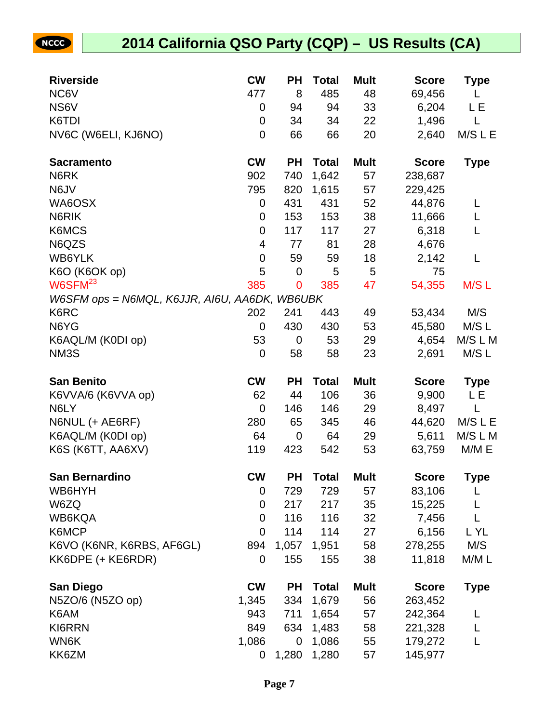| <b>Riverside</b>                              | <b>CW</b>   | РH          | <b>Total</b> | <b>Mult</b> | <b>Score</b> | <b>Type</b> |
|-----------------------------------------------|-------------|-------------|--------------|-------------|--------------|-------------|
| NC6V                                          | 477         | 8           | 485          | 48          | 69,456       | L           |
| NS6V                                          | 0           | 94          | 94           | 33          | 6,204        | LЕ          |
| K6TDI                                         | 0           | 34          | 34           | 22          | 1,496        | L           |
| NV6C (W6ELI, KJ6NO)                           | 0           | 66          | 66           | 20          | 2,640        | M/S L E     |
| <b>Sacramento</b>                             | <b>CW</b>   | <b>PH</b>   | <b>Total</b> | <b>Mult</b> | <b>Score</b> | <b>Type</b> |
| N6RK                                          | 902         | 740         | 1,642        | 57          | 238,687      |             |
| N6JV                                          | 795         | 820         | 1,615        | 57          | 229,425      |             |
| WA6OSX                                        | 0           | 431         | 431          | 52          | 44,876       | L           |
| N6RIK                                         | 0           | 153         | 153          | 38          | 11,666       | L           |
| K6MCS                                         | 0           | 117         | 117          | 27          | 6,318        | L           |
| N6QZS                                         | 4           | 77          | 81           | 28          | 4,676        |             |
| WB6YLK                                        | $\mathbf 0$ | 59          | 59           | 18          | 2,142        | L           |
| K6O (K6OK op)                                 | 5           | $\mathbf 0$ | 5            | 5           | 75           |             |
| $W6$ SFM $^{23}$                              | 385         | $\mathbf 0$ | 385          | 47          | 54,355       | M/SL        |
| W6SFM ops = N6MQL, K6JJR, AI6U, AA6DK, WB6UBK |             |             |              |             |              |             |
| K6RC                                          | 202         | 241         | 443          | 49          | 53,434       | M/S         |
| N6YG                                          | 0           | 430         | 430          | 53          | 45,580       | M/S L       |
| K6AQL/M (K0DI op)                             | 53          | $\mathbf 0$ | 53           | 29          | 4,654        | M/S L M     |
| NM3S                                          | 0           | 58          | 58           | 23          | 2,691        | M/S L       |
|                                               |             |             |              |             |              |             |
| <b>San Benito</b>                             | <b>CW</b>   | PH          | <b>Total</b> | <b>Mult</b> | <b>Score</b> | <b>Type</b> |
| K6VVA/6 (K6VVA op)                            | 62          | 44          | 106          | 36          | 9,900        | L E         |
| N6LY                                          | $\mathbf 0$ | 146         | 146          | 29          | 8,497        | L           |
| N6NUL (+ AE6RF)                               | 280         | 65          | 345          | 46          | 44,620       | M/S L E     |
| K6AQL/M (K0DI op)                             | 64          | $\mathbf 0$ | 64           | 29          | 5,611        | M/S L M     |
| K6S (K6TT, AA6XV)                             | 119         | 423         | 542          | 53          | 63,759       | M/M E       |
| <b>San Bernardino</b>                         | <b>CW</b>   | <b>PH</b>   | <b>Total</b> | <b>Mult</b> | <b>Score</b> | <b>Type</b> |
| WB6HYH                                        | 0           | 729         | 729          | 57          | 83,106       | L           |
| W6ZQ                                          | 0           | 217         | 217          | 35          | 15,225       | L           |
| WB6KQA                                        | 0           | 116         | 116          | 32          | 7,456        | L           |
| K6MCP                                         | 0           | 114         | 114          | 27          | 6,156        | L YL        |
| K6VO (K6NR, K6RBS, AF6GL)                     | 894         | 1,057       | 1,951        | 58          | 278,255      | M/S         |
| KK6DPE (+ KE6RDR)                             | 0           | 155         | 155          | 38          | 11,818       | M/M L       |
| <b>San Diego</b>                              | <b>CW</b>   | <b>PH</b>   | <b>Total</b> | <b>Mult</b> | <b>Score</b> | <b>Type</b> |
| N5ZO/6 (N5ZO op)                              | 1,345       | 334         | 1,679        | 56          | 263,452      |             |
| K6AM                                          | 943         | 711         | 1,654        | 57          | 242,364      | L           |
| KI6RRN                                        | 849         | 634         | 1,483        | 58          | 221,328      | L           |
| WN6K                                          | 1,086       | $\mathbf 0$ | 1,086        | 55          | 179,272      |             |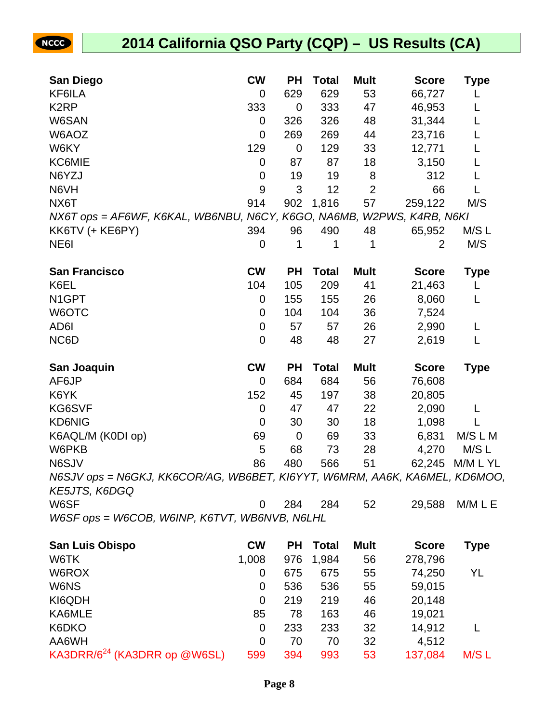## **2014 California QSO Party (CQP) – US Results (CA)**

| <b>San Diego</b>                                                                    | <b>CW</b> | <b>PH</b>   | <b>Total</b> | <b>Mult</b>    | <b>Score</b>      | <b>Type</b> |
|-------------------------------------------------------------------------------------|-----------|-------------|--------------|----------------|-------------------|-------------|
| KF6ILA                                                                              | 0         | 629         | 629          | 53             | 66,727            | L           |
| K <sub>2</sub> RP                                                                   | 333       | 0           | 333          | 47             | 46,953            | L           |
| W6SAN                                                                               | 0         | 326         | 326          | 48             | 31,344            | L           |
| W6AOZ                                                                               | 0         | 269         | 269          | 44             | 23,716            | L           |
| W6KY                                                                                | 129       | 0           | 129          | 33             | 12,771            | L           |
| KC6MIE                                                                              | 0         | 87          | 87           | 18             | 3,150             | L           |
| N6YZJ                                                                               | 0         | 19          | 19           | 8              | 312               | L           |
| N6VH                                                                                | 9         | 3           | 12           | $\overline{2}$ | 66                | L           |
| NX6T                                                                                | 914       | 902         | 1,816        | 57             | 259,122           | M/S         |
| NX6T ops = AF6WF, K6KAL, WB6NBU, N6CY, K6GO, NA6MB,                                 |           |             |              |                | W2PWS, K4RB, N6KI |             |
| KK6TV (+ KE6PY)                                                                     | 394       | 96          | 490          | 48             | 65,952            | M/S L       |
| NE <sub>6</sub>                                                                     | 0         | 1           | 1            | 1              | $\overline{2}$    | M/S         |
| <b>San Francisco</b>                                                                | <b>CW</b> | <b>PH</b>   | <b>Total</b> | <b>Mult</b>    | <b>Score</b>      | <b>Type</b> |
| K6EL                                                                                | 104       | 105         | 209          | 41             | 21,463            | L           |
| N <sub>1</sub> GPT                                                                  | 0         | 155         | 155          | 26             | 8,060             | L           |
| W6OTC                                                                               | 0         | 104         | 104          | 36             | 7,524             |             |
| AD6I                                                                                | 0         | 57          | 57           | 26             | 2,990             | L           |
| NC6D                                                                                | 0         | 48          | 48           | 27             | 2,619             | L           |
| San Joaquin                                                                         | <b>CW</b> | <b>PH</b>   | <b>Total</b> | <b>Mult</b>    | <b>Score</b>      | <b>Type</b> |
| AF6JP                                                                               | 0         | 684         | 684          | 56             | 76,608            |             |
| K6YK                                                                                | 152       | 45          | 197          | 38             | 20,805            |             |
| KG6SVF                                                                              | 0         | 47          | 47           | 22             | 2,090             | L           |
| <b>KD6NIG</b>                                                                       | 0         | 30          | 30           | 18             | 1,098             |             |
| K6AQL/M (K0DI op)                                                                   | 69        | $\mathbf 0$ | 69           | 33             | 6,831             | M/S L M     |
| W6PKB                                                                               | 5         | 68          | 73           | 28             | 4,270             | M/S L       |
| N6SJV                                                                               | 86        | 480         | 566          | 51             | 62,245            | M/M L YL    |
| N6SJV ops = N6GKJ, KK6COR/AG, WB6BET, KI6YYT, W6MRM, AA6K, KA6MEL,<br>KE5JTS, K6DGQ |           |             |              |                |                   | KD6MOO,     |
| W6SF                                                                                | 0         | 284         | 284          | 52             | 29,588            | M/M L E     |
| W6SF ops = W6COB, W6INP, K6TVT, WB6NVB, N6LHL                                       |           |             |              |                |                   |             |
| <b>San Luis Obispo</b>                                                              | <b>CW</b> | <b>PH</b>   | <b>Total</b> | <b>Mult</b>    | <b>Score</b>      | <b>Type</b> |
| W6TK                                                                                | 1,008     | 976         | 1,984        | 56             | 278,796           |             |
| W6ROX                                                                               | 0         | 675         | 675          | 55             | 74,250            | YL          |
| W6NS                                                                                | 0         | 536         | 536          | 55             | 59,015            |             |
| KI6QDH                                                                              | 0         | 219         | 219          | 46             | 20,148            |             |
| KA6MLE                                                                              | 85        | 78          | 163          | 46             | 19,021            |             |
| K6DKO                                                                               | 0         | 233         | 233          | 32             | 14,912            | L           |
| AA6WH                                                                               | 0         | 70          | 70           | 32             | 4,512             |             |
| KA3DRR/ $6^{24}$ (KA3DRR op @W6SL)                                                  | 599       | 394         | 993          | 53             | 137,084           | M/S L       |

KA3DRR/6<sup>24</sup> (KA3DRR op @W6SL) 599 394 993 53 137,084 M/S L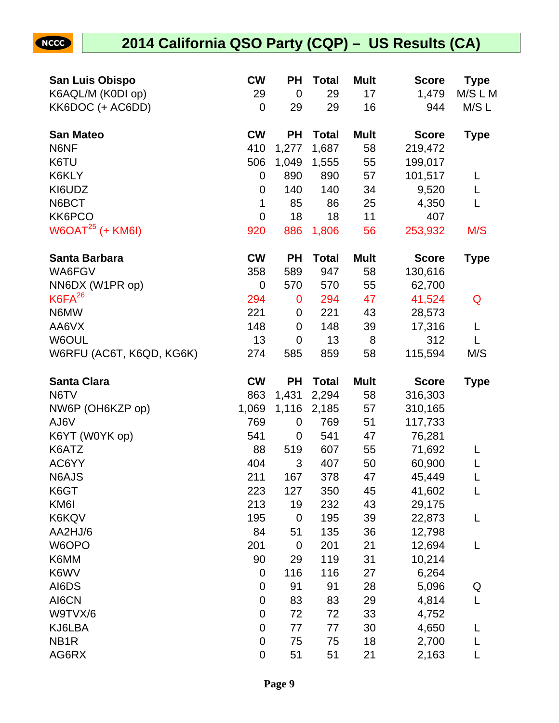| <b>San Luis Obispo</b>     | <b>CW</b>        | <b>PH</b>        | <b>Total</b> | <b>Mult</b> | <b>Score</b>   | <b>Type</b> |
|----------------------------|------------------|------------------|--------------|-------------|----------------|-------------|
| K6AQL/M (K0DI op)          | 29               | $\mathbf 0$      | 29           | 17          | 1,479          | M/S L M     |
| KK6DOC (+ AC6DD)           | $\mathbf 0$      | 29               | 29           | 16          | 944            | M/S L       |
| <b>San Mateo</b>           | <b>CW</b>        | <b>PH</b>        | <b>Total</b> | <b>Mult</b> | <b>Score</b>   | <b>Type</b> |
| N6NF                       | 410              | 1,277            | 1,687        | 58          | 219,472        |             |
| K6TU                       | 506              | 1,049            | 1,555        | 55          | 199,017        |             |
| K6KLY                      | $\mathbf 0$      | 890              | 890          | 57          | 101,517        | L           |
| KI6UDZ                     | $\mathbf 0$      | 140              | 140          | 34          | 9,520          | L           |
| N6BCT                      | 1                | 85               | 86           | 25          | 4,350          | L           |
| KK6PCO                     | $\mathbf 0$      | 18               | 18           | 11          | 407            |             |
| $W6OAT25$ (+ KM6I)         | 920              | 886              | 1,806        | 56          | 253,932        | M/S         |
| <b>Santa Barbara</b>       | <b>CW</b>        | <b>PH</b>        | <b>Total</b> | <b>Mult</b> | <b>Score</b>   | <b>Type</b> |
| WA6FGV                     | 358              | 589              | 947          | 58          | 130,616        |             |
| NN6DX (W1PR op)            | $\mathbf 0$      | 570              | 570          | 55          | 62,700         |             |
| $K6FA^{26}$                | 294              | 0                | 294          | 47          | 41,524         | Q           |
| N6MW                       | 221              | $\mathbf 0$      | 221          | 43          | 28,573         |             |
| AA6VX                      | 148              | $\mathbf 0$      | 148          | 39          | 17,316         | L           |
| W6OUL                      | 13               | $\mathbf 0$      | 13           | 8           | 312            | L           |
| W6RFU (AC6T, K6QD, KG6K)   | 274              | 585              | 859          | 58          | 115,594        | M/S         |
| <b>Santa Clara</b>         | <b>CW</b>        | <b>PH</b>        | <b>Total</b> | <b>Mult</b> | <b>Score</b>   | <b>Type</b> |
| N6TV                       | 863              | 1,431            | 2,294        | 58          | 316,303        |             |
| NW6P (OH6KZP op)           | 1,069            | 1,116            | 2,185        | 57          | 310,165        |             |
| AJ6V                       | 769              | $\mathbf 0$      | 769          | 51          | 117,733        |             |
| K6YT (W0YK op)             | 541              | $\mathbf 0$      | 541          | 47          | 76,281         |             |
| K6ATZ                      | 88               | 519              | 607          | 55          | 71,692         | L           |
| AC6YY                      | 404              | 3                | 407          | 50          | 60,900         |             |
| N6AJS                      | 211              | 167              | 378          | 47          | 45,449         |             |
| K6GT                       | 223              | 127              | 350          | 45          | 41,602         | L           |
| KM6I                       | 213              | 19               | 232          | 43          | 29,175         |             |
| K6KQV                      | 195              | $\boldsymbol{0}$ | 195          | 39          | 22,873         | L           |
| AA2HJ/6                    | 84               | 51               | 135          | 36          | 12,798         |             |
| W6OPO                      | 201              | $\mathbf 0$      | 201          | 21          | 12,694         | L           |
| K6MM                       | 90               | 29               | 119          | 31          | 10,214         |             |
| K6WV                       | $\mathbf 0$      | 116              | 116          | 27          | 6,264          |             |
| AI6DS                      | $\mathbf 0$      | 91               | 91           | 28          | 5,096          | Q           |
| AI6CN                      | $\mathbf 0$      | 83               | 83           | 29          | 4,814          | L           |
| W9TVX/6                    | $\mathbf 0$      | 72               | 72           | 33          | 4,752          |             |
| KJ6LBA                     |                  |                  |              |             |                |             |
|                            | $\mathbf 0$      | 77               | 77           | 30          | 4,650          | L           |
| NB <sub>1</sub> R<br>AG6RX | $\mathbf 0$<br>0 | 75<br>51         | 75<br>51     | 18<br>21    | 2,700<br>2,163 | L           |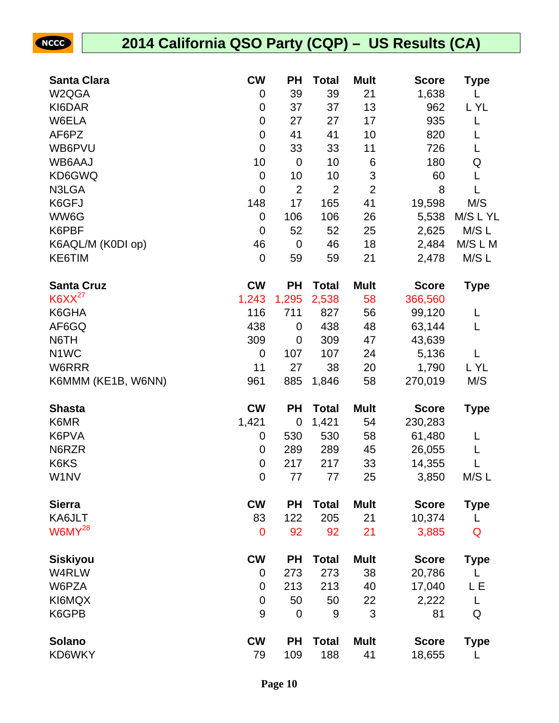| <b>NCCC</b>        |                    | 2014 California QSO Party (CQP) - US Results (CA) |                  |                |                |                |              |             |
|--------------------|--------------------|---------------------------------------------------|------------------|----------------|----------------|----------------|--------------|-------------|
|                    |                    |                                                   |                  |                |                |                |              |             |
| <b>Santa Clara</b> |                    |                                                   | <b>CW</b>        | <b>PH</b>      | <b>Total</b>   | <b>Mult</b>    | <b>Score</b> | <b>Type</b> |
| W2QGA              |                    |                                                   | $\mathbf 0$      | 39             | 39             | 21             | 1,638        |             |
| KI6DAR             |                    |                                                   | 0                | 37             | 37             | 13             | 962          | L YL        |
| W6ELA              |                    |                                                   | $\mathbf 0$      | 27             | 27             | 17             | 935          |             |
| AF6PZ              |                    |                                                   | $\mathbf 0$      | 41             | 41             | 10             | 820          |             |
| WB6PVU             |                    |                                                   | $\mathbf 0$      | 33             | 33             | 11             | 726          | L           |
| WB6AAJ             |                    |                                                   | 10               | $\mathbf 0$    | 10             | 6              | 180          | Q           |
| KD6GWQ             |                    |                                                   | $\mathbf 0$      | 10             | 10             | 3              | 60           | L           |
| N3LGA              |                    |                                                   | $\mathbf 0$      | $\overline{2}$ | $\overline{2}$ | $\overline{2}$ | 8            | L           |
| K6GFJ              |                    |                                                   | 148              | 17             | 165            | 41             | 19,598       | M/S         |
| WW6G               |                    |                                                   | 0                | 106            | 106            | 26             | 5,538        | M/S L YL    |
| K6PBF              |                    |                                                   | $\mathbf 0$      | 52             | 52             | 25             | 2,625        | M/S L       |
|                    | K6AQL/M (K0DI op)  |                                                   | 46               | $\mathbf 0$    | 46             | 18             | 2,484        | M/S L M     |
| KE6TIM             |                    |                                                   | $\mathbf 0$      | 59             | 59             | 21             | 2,478        | M/SL        |
| <b>Santa Cruz</b>  |                    |                                                   | <b>CW</b>        | <b>PH</b>      | <b>Total</b>   | <b>Mult</b>    | <b>Score</b> | <b>Type</b> |
| $K6XX^{27}$        |                    |                                                   | 1,243            | 1,295          | 2,538          | 58             | 366,560      |             |
| K6GHA              |                    |                                                   | 116              | 711            | 827            | 56             | 99,120       | L           |
| AF6GQ              |                    |                                                   | 438              | $\mathbf 0$    | 438            | 48             | 63,144       | L           |
| N6TH               |                    |                                                   | 309              | $\mathbf 0$    | 309            | 47             | 43,639       |             |
| N <sub>1</sub> WC  |                    |                                                   | $\mathbf 0$      | 107            | 107            | 24             | 5,136        | L           |
| W6RRR              |                    |                                                   | 11               | 27             | 38             | 20             | 1,790        | L YL        |
|                    | K6MMM (KE1B, W6NN) |                                                   | 961              | 885            | 1,846          | 58             | 270,019      | M/S         |
| <b>Shasta</b>      |                    |                                                   | <b>CW</b>        | <b>PH</b>      | <b>Total</b>   | <b>Mult</b>    | <b>Score</b> | <b>Type</b> |
| K6MR               |                    |                                                   | 1,421            | $\mathbf 0$    | 1,421          | 54             | 230,283      |             |
| K6PVA              |                    |                                                   | $\mathbf 0$      | 530            | 530            | 58             | 61,480       | L           |
| N6RZR              |                    |                                                   | $\mathbf 0$      | 289            | 289            | 45             | 26,055       | L           |
| K6KS               |                    |                                                   | $\mathbf 0$      | 217            | 217            | 33             | 14,355       | L           |
| W1NV               |                    |                                                   | $\mathbf 0$      | 77             | 77             | 25             | 3,850        | M/S L       |
| <b>Sierra</b>      |                    |                                                   | <b>CW</b>        | <b>PH</b>      | <b>Total</b>   | <b>Mult</b>    | <b>Score</b> | <b>Type</b> |
| KA6JLT             |                    |                                                   | 83               | 122            | 205            | 21             | 10,374       | L           |
| $W6MY^{28}$        |                    |                                                   | $\mathbf 0$      | 92             | 92             | 21             | 3,885        | Q           |
| <b>Siskiyou</b>    |                    |                                                   | <b>CW</b>        | <b>PH</b>      | <b>Total</b>   | <b>Mult</b>    | <b>Score</b> | <b>Type</b> |
| W4RLW              |                    |                                                   | $\boldsymbol{0}$ | 273            | 273            | 38             | 20,786       | L           |
| W6PZA              |                    |                                                   | $\mathbf 0$      | 213            | 213            | 40             | 17,040       | L E         |
| KI6MQX             |                    |                                                   | $\mathbf 0$      | 50             | 50             | 22             | 2,222        | L           |
| K6GPB              |                    |                                                   | 9                | $\mathbf 0$    | 9              | 3              | 81           | Q           |
|                    |                    |                                                   |                  |                |                |                |              |             |
| <b>Solano</b>      |                    |                                                   | <b>CW</b>        | <b>PH</b>      | <b>Total</b>   | <b>Mult</b>    | <b>Score</b> | <b>Type</b> |
| KD6WKY             |                    |                                                   | 79               | 109            | 188            | 41             | 18,655       |             |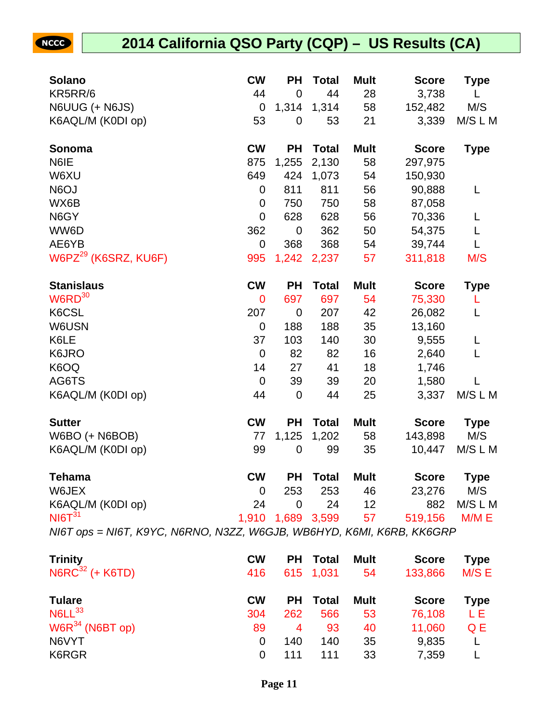| <b>Solano</b>                                                         | <b>CW</b>        | <b>PH</b>           | <b>Total</b> | <b>Mult</b>     | <b>Score</b> | <b>Type</b>  |
|-----------------------------------------------------------------------|------------------|---------------------|--------------|-----------------|--------------|--------------|
| KR5RR/6                                                               | 44               | $\mathbf 0$         | 44           | 28              | 3,738        | L            |
| N6UUG (+ N6JS)                                                        | 0                | 1,314               | 1,314        | 58              | 152,482      | M/S          |
| K6AQL/M (K0DI op)                                                     | 53               | $\mathbf 0$         | 53           | 21              | 3,339        | M/S L M      |
| Sonoma                                                                | <b>CW</b>        | <b>PH</b>           | <b>Total</b> | <b>Mult</b>     | <b>Score</b> | <b>Type</b>  |
| N6IE                                                                  | 875              | 1,255               | 2,130        | 58              | 297,975      |              |
| W6XU                                                                  | 649              | 424                 | 1,073        | 54              | 150,930      |              |
| N6OJ                                                                  | 0                | 811                 | 811          | 56              | 90,888       | L            |
| WX6B                                                                  | $\mathbf 0$      | 750                 | 750          | 58              | 87,058       |              |
| N6GY                                                                  | $\mathbf 0$      | 628                 | 628          | 56              | 70,336       | L            |
| WW6D                                                                  | 362              | $\mathbf 0$         | 362          | 50              | 54,375       | L            |
| AE6YB                                                                 | 0                | 368                 | 368          | 54              | 39,744       | L            |
| W6PZ <sup>29</sup> (K6SRZ, KU6F)                                      | 995              | 1,242               | 2,237        | 57              | 311,818      | M/S          |
| <b>Stanislaus</b>                                                     | <b>CW</b>        | <b>PH</b>           | <b>Total</b> | <b>Mult</b>     | <b>Score</b> | <b>Type</b>  |
| $W6RD^{30}$                                                           | 0                | 697                 | 697          | 54              | 75,330       | L            |
| K6CSL                                                                 | 207              | $\mathbf 0$         | 207          | 42              | 26,082       | L            |
| W6USN                                                                 | 0                | 188                 | 188          | 35              | 13,160       |              |
| K6LE                                                                  | 37               | 103                 | 140          | 30              | 9,555        | L            |
| K6JRO                                                                 | $\mathbf 0$      | 82                  | 82           | 16              | 2,640        | L            |
| K6OQ                                                                  | 14               | 27                  | 41           | 18              | 1,746        |              |
| AG6TS                                                                 | $\boldsymbol{0}$ | 39                  | 39           | 20              | 1,580        | $\mathbf{L}$ |
| K6AQL/M (K0DI op)                                                     | 44               | $\mathbf 0$         | 44           | 25              | 3,337        | M/S L M      |
| <b>Sutter</b>                                                         | <b>CW</b>        | <b>PH</b>           | <b>Total</b> | <b>Mult</b>     | <b>Score</b> | <b>Type</b>  |
| W6BO (+ N6BOB)                                                        | 77               | 1,125               | 1,202        | 58              | 143,898      | M/S          |
| K6AQL/M (K0DI op)                                                     | 99               | $\mathbf 0$         | 99           | 35              | 10,447       | M/S L M      |
| <b>Tehama</b>                                                         | <b>CW</b>        | <b>PH</b>           | <b>Total</b> | <b>Mult</b>     | <b>Score</b> | Type         |
| W6JEX                                                                 | 0                | 253                 | 253          | 46              | 23,276       | M/S          |
| K6AQL/M (K0DI op)                                                     | 24               | 0                   | 24           | 12 <sup>2</sup> | 882          | M/S L M      |
| NI6T <sup>31</sup>                                                    |                  | 1,910  1,689  3,599 |              | 57              | 519,156      | M/M E        |
| NI6T ops = NI6T, K9YC, N6RNO, N3ZZ, W6GJB, WB6HYD, K6MI, K6RB, KK6GRP |                  |                     |              |                 |              |              |
| <b>Trinity</b>                                                        | <b>CW</b>        | <b>PH</b>           | <b>Total</b> | <b>Mult</b>     | <b>Score</b> | <b>Type</b>  |
| $NGRC^{32}$ (+ K6TD)                                                  | 416              |                     | 615 1,031    | 54              | 133,866      | M/S E        |

| $NOT = (TNO)$                  |           |     |          |             | 410 013 1,031 04 100,000 MIOL |      |
|--------------------------------|-----------|-----|----------|-------------|-------------------------------|------|
| Tulare                         | <b>CW</b> |     | PH Total | <b>Mult</b> | <b>Score</b>                  | Type |
| $N6LL^{33}$                    | 304       | 262 | 566      | 53          | 76,108                        | LE.  |
| $\mathsf{W6R}^{34}$ (N6BT op). | 89        | 4   | 93       | 40          | 11,060                        | Q E  |
| N6VYT                          |           | 140 | 140      | 35          | 9,835                         |      |
| K6RGR                          |           | 111 | 111      | 33          | 7,359                         |      |
|                                |           |     |          |             |                               |      |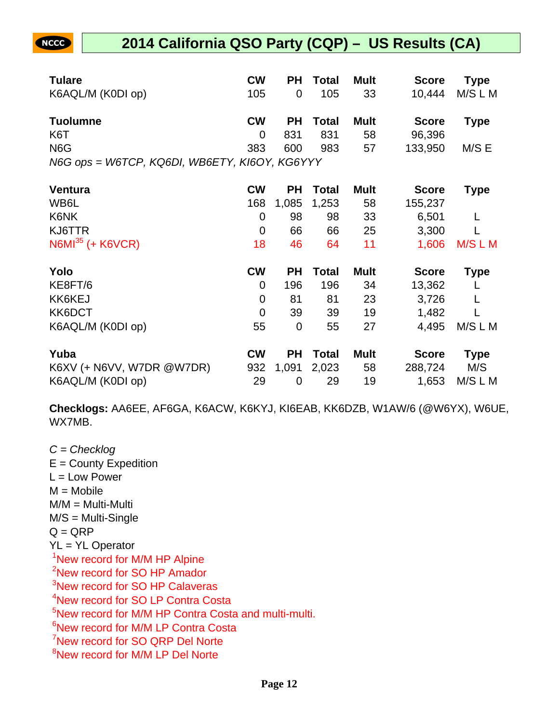## **2014 California QSO Party (CQP) – US Results (CA)**

| <b>Tulare</b>                                 | <b>CW</b>      | РH          | <b>Total</b> | <b>Mult</b> | <b>Score</b> | <b>Type</b> |
|-----------------------------------------------|----------------|-------------|--------------|-------------|--------------|-------------|
| K6AQL/M (K0DI op)                             | 105            | 0           | 105          | 33          | 10,444       | M/S L M     |
| <b>Tuolumne</b>                               | <b>CW</b>      | <b>PH</b>   | <b>Total</b> | <b>Mult</b> | <b>Score</b> | <b>Type</b> |
| K <sub>6</sub> T                              | $\mathbf 0$    | 831         | 831          | 58          | 96,396       |             |
| N <sub>6</sub> G                              | 383            | 600         | 983          | 57          | 133,950      | M/S E       |
| N6G ops = W6TCP, KQ6DI, WB6ETY, KI6OY, KG6YYY |                |             |              |             |              |             |
| Ventura                                       | <b>CW</b>      | РH          | <b>Total</b> | Mult        | <b>Score</b> | <b>Type</b> |
| WB6L                                          | 168            | 1,085       | 1,253        | 58          | 155,237      |             |
| K6NK                                          | $\mathbf 0$    | 98          | 98           | 33          | 6,501        | L           |
| KJ6TTR                                        | $\mathbf 0$    | 66          | 66           | 25          | 3,300        |             |
| $N6MI^{35}$ (+ K6VCR)                         | 18             | 46          | 64           | 11          | 1,606        | M/S L M     |
| Yolo                                          | <b>CW</b>      | PН          | <b>Total</b> | <b>Mult</b> | <b>Score</b> | <b>Type</b> |
| KE8FT/6                                       | 0              | 196         | 196          | 34          | 13,362       |             |
| KK6KEJ                                        | $\mathbf 0$    | 81          | 81           | 23          | 3,726        | L           |
| KK6DCT                                        | $\overline{0}$ | 39          | 39           | 19          | 1,482        |             |
| K6AQL/M (K0DI op)                             | 55             | $\mathbf 0$ | 55           | 27          | 4,495        | M/S L M     |
| Yuba                                          | <b>CW</b>      | РH          | <b>Total</b> | Mult        | <b>Score</b> | <b>Type</b> |
| K6XV (+ N6VV, W7DR @W7DR)                     | 932            | 1,091       | 2,023        | 58          | 288,724      | M/S         |
| K6AQL/M (K0DI op)                             | 29             | 0           | 29           | 19          | 1,653        | M/S L M     |

**Checklogs:** AA6EE, AF6GA, K6ACW, K6KYJ, KI6EAB, KK6DZB, W1AW/6 (@W6YX), W6UE, WX7MB.

 $C =$ Checklog  $E =$  County Expedition  $L = Low Power$  $M = Mobile$ M/M = Multi-Multi M/S = Multi-Single  $Q = QRP$ YL = YL Operator <sup>1</sup>New record for M/M HP Alpine <sup>2</sup>New record for SO HP Amador <sup>3</sup>New record for SO HP Calaveras <sup>4</sup>New record for SO LP Contra Costa <sup>5</sup>New record for M/M HP Contra Costa and multi-multi. <sup>6</sup>New record for M/M LP Contra Costa <sup>7</sup>New record for SO QRP Del Norte <sup>8</sup>New record for M/M LP Del Norte